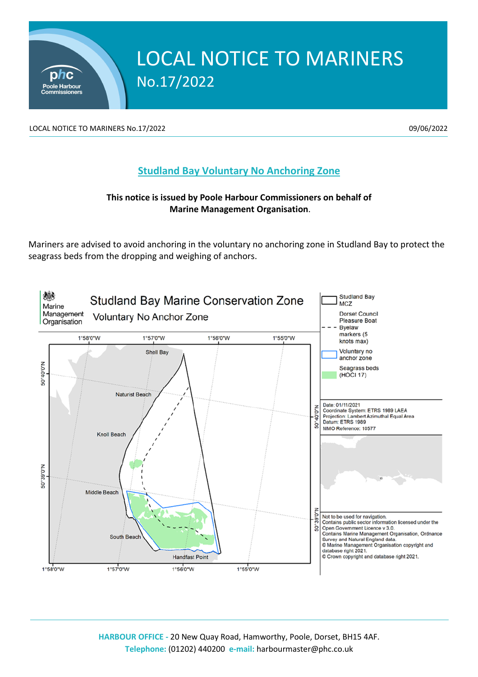

LOCAL NOTICE TO MARINERS No.17/2022 **199/06/2022** 09/06/2022

phc **Poole Harbour** 

## **Studland Bay Voluntary No Anchoring Zone**

## **This notice is issued by Poole Harbour Commissioners on behalf of Marine Management Organisation**.

Mariners are advised to avoid anchoring in the voluntary no anchoring zone in Studland Bay to protect the seagrass beds from the dropping and weighing of anchors.